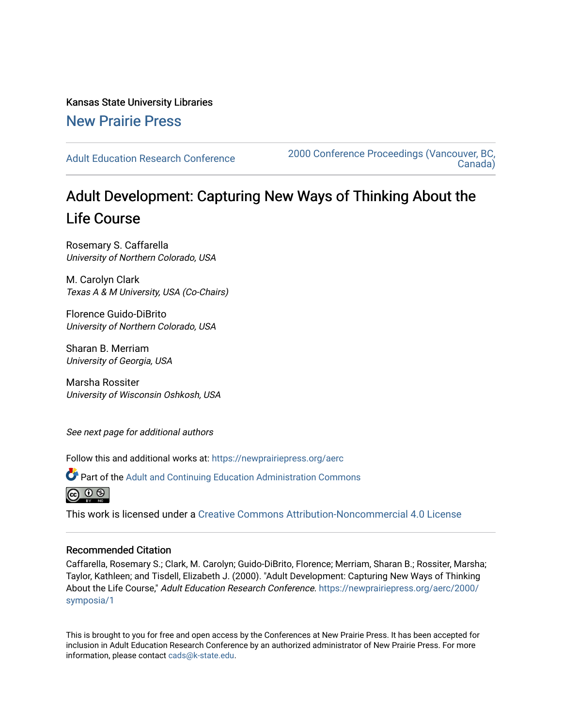Kansas State University Libraries [New Prairie Press](https://newprairiepress.org/) 

[Adult Education Research Conference](https://newprairiepress.org/aerc) [2000 Conference Proceedings \(Vancouver, BC,](https://newprairiepress.org/aerc/2000)  [Canada\)](https://newprairiepress.org/aerc/2000) 

# Adult Development: Capturing New Ways of Thinking About the Life Course

Rosemary S. Caffarella University of Northern Colorado, USA

M. Carolyn Clark Texas A & M University, USA (Co-Chairs)

Florence Guido-DiBrito University of Northern Colorado, USA

Sharan B. Merriam University of Georgia, USA

Marsha Rossiter University of Wisconsin Oshkosh, USA

See next page for additional authors

Follow this and additional works at: [https://newprairiepress.org/aerc](https://newprairiepress.org/aerc?utm_source=newprairiepress.org%2Faerc%2F2000%2Fsymposia%2F1&utm_medium=PDF&utm_campaign=PDFCoverPages)

Part of the [Adult and Continuing Education Administration Commons](http://network.bepress.com/hgg/discipline/789?utm_source=newprairiepress.org%2Faerc%2F2000%2Fsymposia%2F1&utm_medium=PDF&utm_campaign=PDFCoverPages)



This work is licensed under a [Creative Commons Attribution-Noncommercial 4.0 License](https://creativecommons.org/licenses/by-nc/4.0/)

# Recommended Citation

Caffarella, Rosemary S.; Clark, M. Carolyn; Guido-DiBrito, Florence; Merriam, Sharan B.; Rossiter, Marsha; Taylor, Kathleen; and Tisdell, Elizabeth J. (2000). "Adult Development: Capturing New Ways of Thinking About the Life Course," Adult Education Research Conference. [https://newprairiepress.org/aerc/2000/](https://newprairiepress.org/aerc/2000/symposia/1) [symposia/1](https://newprairiepress.org/aerc/2000/symposia/1) 

This is brought to you for free and open access by the Conferences at New Prairie Press. It has been accepted for inclusion in Adult Education Research Conference by an authorized administrator of New Prairie Press. For more information, please contact [cads@k-state.edu](mailto:cads@k-state.edu).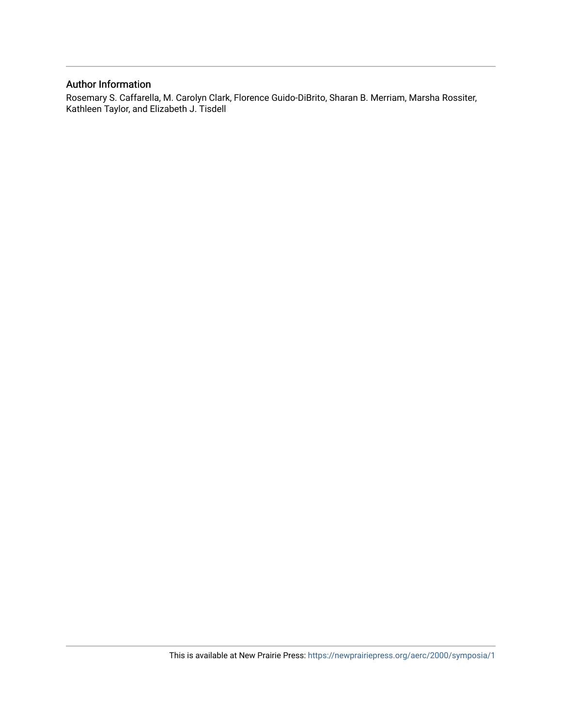# Author Information

Rosemary S. Caffarella, M. Carolyn Clark, Florence Guido-DiBrito, Sharan B. Merriam, Marsha Rossiter, Kathleen Taylor, and Elizabeth J. Tisdell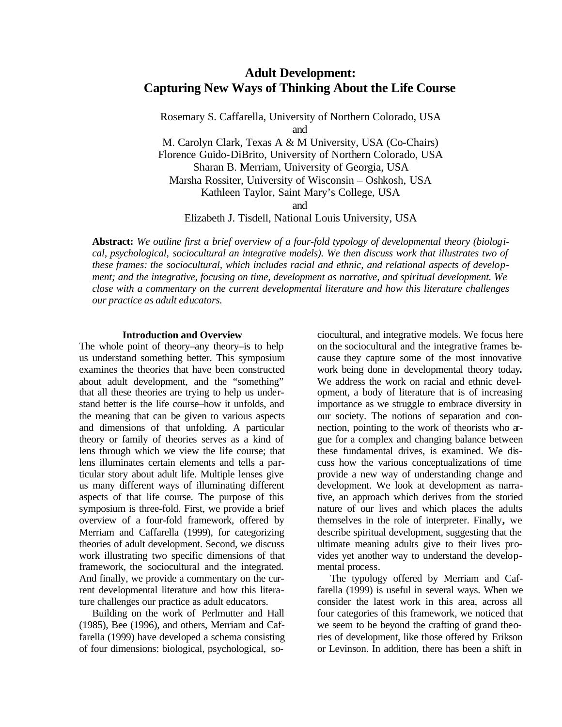# **Adult Development: Capturing New Ways of Thinking About the Life Course**

Rosemary S. Caffarella, University of Northern Colorado, USA and M. Carolyn Clark, Texas A & M University, USA (Co-Chairs) Florence Guido-DiBrito, University of Northern Colorado, USA Sharan B. Merriam, University of Georgia, USA Marsha Rossiter, University of Wisconsin – Oshkosh, USA

Kathleen Taylor, Saint Mary's College, USA

and

Elizabeth J. Tisdell, National Louis University, USA

**Abstract:** *We outline first a brief overview of a four-fold typology of developmental theory (biological, psychological, sociocultural an integrative models). We then discuss work that illustrates two of these frames: the sociocultural, which includes racial and ethnic, and relational aspects of development; and the integrative, focusing on time, development as narrative, and spiritual development. We close with a commentary on the current developmental literature and how this literature challenges our practice as adult educators.*

#### **Introduction and Overview**

The whole point of theory–any theory–is to help us understand something better. This symposium examines the theories that have been constructed about adult development, and the "something" that all these theories are trying to help us understand better is the life course–how it unfolds, and the meaning that can be given to various aspects and dimensions of that unfolding. A particular theory or family of theories serves as a kind of lens through which we view the life course; that lens illuminates certain elements and tells a particular story about adult life. Multiple lenses give us many different ways of illuminating different aspects of that life course. The purpose of this symposium is three-fold. First, we provide a brief overview of a four-fold framework, offered by Merriam and Caffarella (1999), for categorizing theories of adult development. Second, we discuss work illustrating two specific dimensions of that framework, the sociocultural and the integrated. And finally, we provide a commentary on the current developmental literature and how this literature challenges our practice as adult educators.

Building on the work of Perlmutter and Hall (1985), Bee (1996), and others, Merriam and Caffarella (1999) have developed a schema consisting of four dimensions: biological, psychological, so-

ciocultural, and integrative models. We focus here on the sociocultural and the integrative frames because they capture some of the most innovative work being done in developmental theory today**.** We address the work on racial and ethnic development, a body of literature that is of increasing importance as we struggle to embrace diversity in our society. The notions of separation and connection, pointing to the work of theorists who argue for a complex and changing balance between these fundamental drives, is examined. We discuss how the various conceptualizations of time provide a new way of understanding change and development. We look at development as narrative, an approach which derives from the storied nature of our lives and which places the adults themselves in the role of interpreter. Finally**,** we describe spiritual development, suggesting that the ultimate meaning adults give to their lives provides yet another way to understand the developmental process.

The typology offered by Merriam and Caffarella (1999) is useful in several ways. When we consider the latest work in this area, across all four categories of this framework, we noticed that we seem to be beyond the crafting of grand theories of development, like those offered by Erikson or Levinson. In addition, there has been a shift in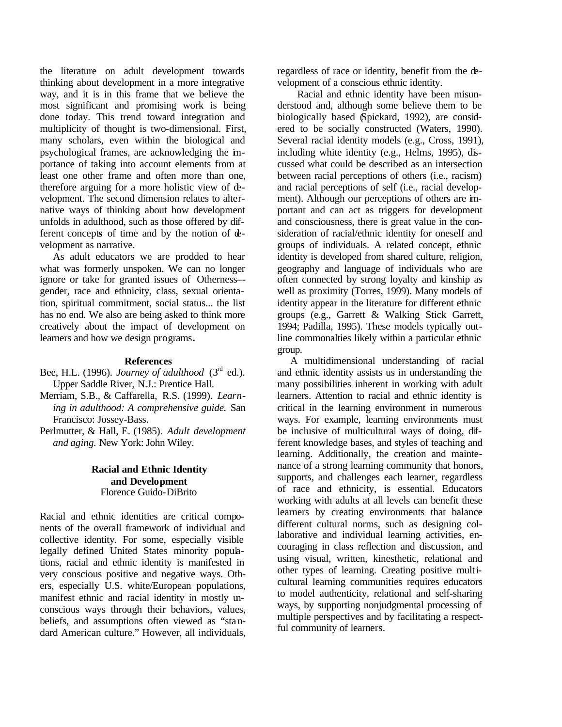the literature on adult development towards thinking about development in a more integrative way, and it is in this frame that we believe the most significant and promising work is being done today. This trend toward integration and multiplicity of thought is two-dimensional. First, many scholars, even within the biological and psychological frames, are acknowledging the importance of taking into account elements from at least one other frame and often more than one, therefore arguing for a more holistic view of development. The second dimension relates to alternative ways of thinking about how development unfolds in adulthood, such as those offered by different concept**s** of time and by the notion of development as narrative.

As adult educators we are prodded to hear what was formerly unspoken. We can no longer ignore or take for granted issues of Otherness– gender, race and ethnicity, class, sexual orientation, spiritual commitment, social status... the list has no end. We also are being asked to think more creatively about the impact of development on learners and how we design programs**.**

#### **References**

- Bee, H.L. (1996). *Journey of adulthood*  $(3<sup>rd</sup> ed.)$ . Upper Saddle River, N.J.: Prentice Hall.
- Merriam, S.B., & Caffarella, R.S. (1999). *Learning in adulthood: A comprehensive guide.* San Francisco: Jossey-Bass.
- Perlmutter, & Hall, E. (1985). *Adult development and aging.* New York: John Wiley.

## **Racial and Ethnic Identity and Development** Florence Guido-DiBrito

Racial and ethnic identities are critical components of the overall framework of individual and collective identity. For some, especially visible legally defined United States minority populations, racial and ethnic identity is manifested in very conscious positive and negative ways. Others, especially U.S. white/European populations, manifest ethnic and racial identity in mostly unconscious ways through their behaviors, values, beliefs, and assumptions often viewed as "standard American culture." However, all individuals, regardless of race or identity, benefit from the development of a conscious ethnic identity.

Racial and ethnic identity have been misunderstood and, although some believe them to be biologically based (Spickard, 1992), are considered to be socially constructed (Waters, 1990). Several racial identity models (e.g., Cross, 1991), including white identity (e.g., Helms, 1995), discussed what could be described as an intersection between racial perceptions of others (i.e., racism) and racial perceptions of self (i.e., racial development). Although our perceptions of others are important and can act as triggers for development and consciousness, there is great value in the consideration of racial/ethnic identity for oneself and groups of individuals. A related concept, ethnic identity is developed from shared culture, religion, geography and language of individuals who are often connected by strong loyalty and kinship as well as proximity (Torres, 1999). Many models of identity appear in the literature for different ethnic groups (e.g., Garrett & Walking Stick Garrett, 1994; Padilla, 1995). These models typically outline commonalties likely within a particular ethnic group.

A multidimensional understanding of racial and ethnic identity assists us in understanding the many possibilities inherent in working with adult learners. Attention to racial and ethnic identity is critical in the learning environment in numerous ways. For example, learning environments must be inclusive of multicultural ways of doing, different knowledge bases, and styles of teaching and learning. Additionally, the creation and maintenance of a strong learning community that honors, supports, and challenges each learner, regardless of race and ethnicity, is essential. Educators working with adults at all levels can benefit these learners by creating environments that balance different cultural norms, such as designing collaborative and individual learning activities, encouraging in class reflection and discussion, and using visual, written, kinesthetic, relational and other types of learning. Creating positive multicultural learning communities requires educators to model authenticity, relational and self-sharing ways, by supporting nonjudgmental processing of multiple perspectives and by facilitating a respectful community of learners.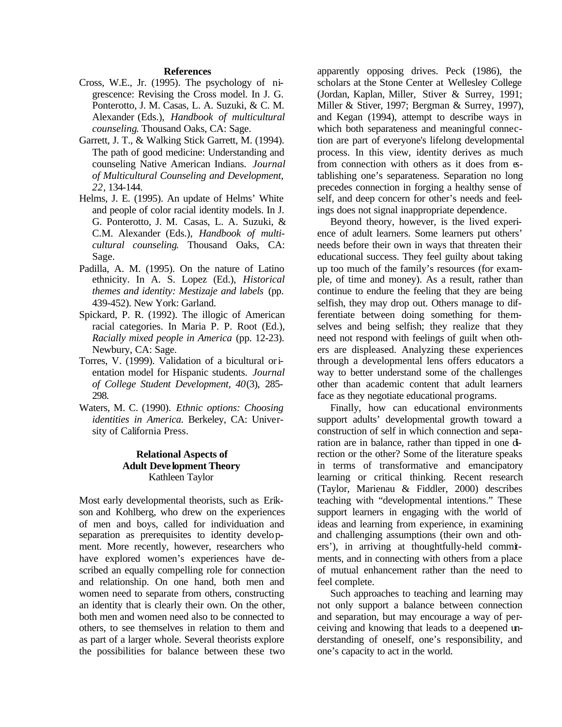#### **References**

- Cross, W.E., Jr. (1995). The psychology of nigrescence: Revising the Cross model. In J. G. Ponterotto, J. M. Casas, L. A. Suzuki, & C. M. Alexander (Eds.), *Handbook of multicultural counseling*. Thousand Oaks, CA: Sage.
- Garrett, J. T., & Walking Stick Garrett, M. (1994). The path of good medicine: Understanding and counseling Native American Indians. *Journal of Multicultural Counseling and Development, 22*, 134-144.
- Helms, J. E. (1995). An update of Helms' White and people of color racial identity models. In J. G. Ponterotto, J. M. Casas, L. A. Suzuki, & C.M. Alexander (Eds.), *Handbook of multicultural counseling*. Thousand Oaks, CA: Sage.
- Padilla, A. M. (1995). On the nature of Latino ethnicity. In A. S. Lopez (Ed.), *Historical themes and identity: Mestizaje and labels* (pp. 439-452). New York: Garland.
- Spickard, P. R. (1992). The illogic of American racial categories. In Maria P. P. Root (Ed.), *Racially mixed people in America* (pp. 12-23). Newbury, CA: Sage.
- Torres, V. (1999). Validation of a bicultural orientation model for Hispanic students. *Journal of College Student Development, 40*(3), 285- 298.
- Waters, M. C. (1990). *Ethnic options: Choosing identities in America.* Berkeley, CA: University of California Press.

## **Relational Aspects of Adult Deve lopment Theory** Kathleen Taylor

Most early developmental theorists, such as Erikson and Kohlberg, who drew on the experiences of men and boys, called for individuation and separation as prerequisites to identity development. More recently, however, researchers who have explored women's experiences have described an equally compelling role for connection and relationship. On one hand, both men and women need to separate from others, constructing an identity that is clearly their own. On the other, both men and women need also to be connected to others, to see themselves in relation to them and as part of a larger whole. Several theorists explore the possibilities for balance between these two apparently opposing drives. Peck (1986), the scholars at the Stone Center at Wellesley College (Jordan, Kaplan, Miller, Stiver & Surrey, 1991; Miller & Stiver, 1997; Bergman & Surrey, 1997), and Kegan (1994), attempt to describe ways in which both separateness and meaningful connection are part of everyone's lifelong developmental process. In this view, identity derives as much from connection with others as it does from establishing one's separateness. Separation no long precedes connection in forging a healthy sense of self, and deep concern for other's needs and feelings does not signal inappropriate dependence.

Beyond theory, however, is the lived experience of adult learners. Some learners put others' needs before their own in ways that threaten their educational success. They feel guilty about taking up too much of the family's resources (for example, of time and money). As a result, rather than continue to endure the feeling that they are being selfish, they may drop out. Others manage to differentiate between doing something for themselves and being selfish; they realize that they need not respond with feelings of guilt when others are displeased. Analyzing these experiences through a developmental lens offers educators a way to better understand some of the challenges other than academic content that adult learners face as they negotiate educational programs.

Finally, how can educational environments support adults' developmental growth toward a construction of self in which connection and separation are in balance, rather than tipped in one direction or the other? Some of the literature speaks in terms of transformative and emancipatory learning or critical thinking. Recent research (Taylor, Marienau & Fiddler, 2000) describes teaching with "developmental intentions." These support learners in engaging with the world of ideas and learning from experience, in examining and challenging assumptions (their own and others'), in arriving at thoughtfully-held commitments, and in connecting with others from a place of mutual enhancement rather than the need to feel complete.

Such approaches to teaching and learning may not only support a balance between connection and separation, but may encourage a way of perceiving and knowing that leads to a deepened understanding of oneself, one's responsibility, and one's capacity to act in the world.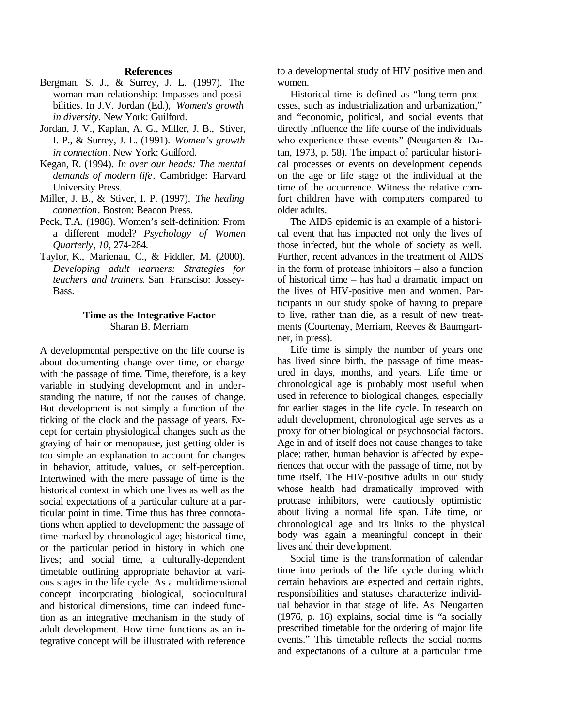#### **References**

- Bergman, S. J., & Surrey, J. L. (1997). The woman-man relationship: Impasses and possibilities. In J.V. Jordan (Ed.), *Women's growth in diversity*. New York: Guilford.
- Jordan, J. V., Kaplan, A. G., Miller, J. B., Stiver, I. P., & Surrey, J. L. (1991). *Women's growth in connection*. New York: Guilford.
- Kegan, R. (1994). *In over our heads: The mental demands of modern life*. Cambridge: Harvard University Press.
- Miller, J. B., & Stiver, I. P. (1997). *The healing connection*. Boston: Beacon Press.
- Peck, T.A. (1986). Women's self-definition: From a different model? *Psychology of Women Quarterly*, *10*, 274-284.
- Taylor, K., Marienau, C., & Fiddler, M. (2000). *Developing adult learners: Strategies for teachers and trainers*. San Fransciso: Jossey-Bass.

#### **Time as the Integrative Factor** Sharan B. Merriam

A developmental perspective on the life course is about documenting change over time, or change with the passage of time. Time, therefore, is a key variable in studying development and in understanding the nature, if not the causes of change. But development is not simply a function of the ticking of the clock and the passage of years. Except for certain physiological changes such as the graying of hair or menopause, just getting older is too simple an explanation to account for changes in behavior, attitude, values, or self-perception. Intertwined with the mere passage of time is the historical context in which one lives as well as the social expectations of a particular culture at a particular point in time. Time thus has three connotations when applied to development: the passage of time marked by chronological age; historical time, or the particular period in history in which one lives; and social time, a culturally-dependent timetable outlining appropriate behavior at various stages in the life cycle. As a multidimensional concept incorporating biological, sociocultural and historical dimensions, time can indeed function as an integrative mechanism in the study of adult development. How time functions as an integrative concept will be illustrated with reference

to a developmental study of HIV positive men and women.

Historical time is defined as "long-term processes, such as industrialization and urbanization," and "economic, political, and social events that directly influence the life course of the individuals who experience those events" (Neugarten & Datan, 1973, p. 58). The impact of particular historical processes or events on development depends on the age or life stage of the individual at the time of the occurrence. Witness the relative comfort children have with computers compared to older adults.

The AIDS epidemic is an example of a historical event that has impacted not only the lives of those infected, but the whole of society as well. Further, recent advances in the treatment of AIDS in the form of protease inhibitors – also a function of historical time – has had a dramatic impact on the lives of HIV-positive men and women. Participants in our study spoke of having to prepare to live, rather than die, as a result of new treatments (Courtenay, Merriam, Reeves & Baumgartner, in press).

Life time is simply the number of years one has lived since birth, the passage of time measured in days, months, and years. Life time or chronological age is probably most useful when used in reference to biological changes, especially for earlier stages in the life cycle. In research on adult development, chronological age serves as a proxy for other biological or psychosocial factors. Age in and of itself does not cause changes to take place; rather, human behavior is affected by experiences that occur with the passage of time, not by time itself. The HIV-positive adults in our study whose health had dramatically improved with protease inhibitors, were cautiously optimistic about living a normal life span. Life time, or chronological age and its links to the physical body was again a meaningful concept in their lives and their deve lopment.

Social time is the transformation of calendar time into periods of the life cycle during which certain behaviors are expected and certain rights, responsibilities and statuses characterize individual behavior in that stage of life. As Neugarten (1976, p. 16) explains, social time is "a socially prescribed timetable for the ordering of major life events." This timetable reflects the social norms and expectations of a culture at a particular time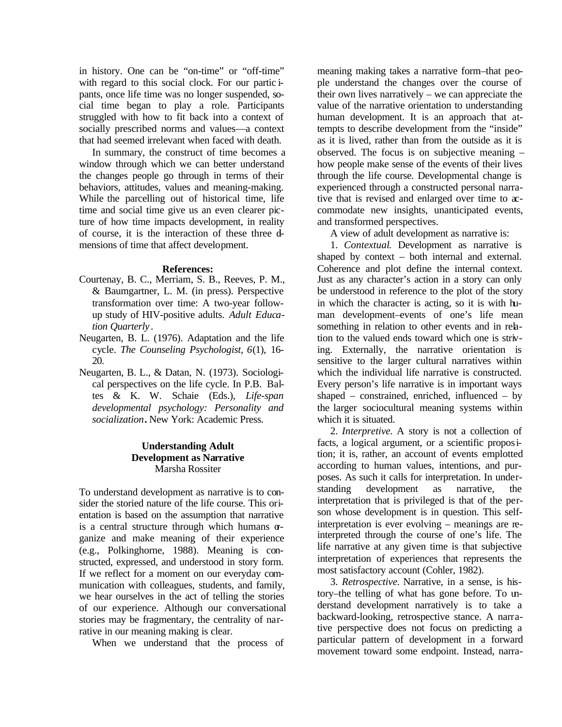in history. One can be "on-time" or "off-time" with regard to this social clock. For our partic ipants, once life time was no longer suspended, social time began to play a role. Participants struggled with how to fit back into a context of socially prescribed norms and values—a context that had seemed irrelevant when faced with death.

In summary, the construct of time becomes a window through which we can better understand the changes people go through in terms of their behaviors, attitudes, values and meaning-making. While the parcelling out of historical time, life time and social time give us an even clearer picture of how time impacts development, in reality of course, it is the interaction of these three dimensions of time that affect development.

#### **References:**

- Courtenay, B. C., Merriam, S. B., Reeves, P. M., & Baumgartner, L. M. (in press). Perspective transformation over time: A two-year followup study of HIV-positive adults. *Adult Education Quarterly* .
- Neugarten, B. L. (1976). Adaptation and the life cycle. *The Counseling Psychologist*, *6*(1), 16- 20.
- Neugarten, B. L., & Datan, N. (1973). Sociological perspectives on the life cycle. In P.B. Baltes & K. W. Schaie (Eds.), *Life-span developmental psychology: Personality and socialization***.** New York: Academic Press.

## **Understanding Adult Development as Narrative** Marsha Rossiter

To understand development as narrative is to consider the storied nature of the life course. This orientation is based on the assumption that narrative is a central structure through which humans  $\sigma$ ganize and make meaning of their experience (e.g., Polkinghorne, 1988). Meaning is constructed, expressed, and understood in story form. If we reflect for a moment on our everyday communication with colleagues, students, and family, we hear ourselves in the act of telling the stories of our experience. Although our conversational stories may be fragmentary, the centrality of narrative in our meaning making is clear.

When we understand that the process of

meaning making takes a narrative form–that people understand the changes over the course of their own lives narratively – we can appreciate the value of the narrative orientation to understanding human development. It is an approach that attempts to describe development from the "inside" as it is lived, rather than from the outside as it is observed. The focus is on subjective meaning – how people make sense of the events of their lives through the life course. Developmental change is experienced through a constructed personal narrative that is revised and enlarged over time to accommodate new insights, unanticipated events, and transformed perspectives.

A view of adult development as narrative is:

1. *Contextual*. Development as narrative is shaped by context – both internal and external. Coherence and plot define the internal context. Just as any character's action in a story can only be understood in reference to the plot of the story in which the character is acting, so it is with human development–events of one's life mean something in relation to other events and in relation to the valued ends toward which one is striving. Externally, the narrative orientation is sensitive to the larger cultural narratives within which the individual life narrative is constructed. Every person's life narrative is in important ways shaped – constrained, enriched, influenced – by the larger sociocultural meaning systems within which it is situated.

2. *Interpretive.* A story is not a collection of facts, a logical argument, or a scientific proposition; it is, rather, an account of events emplotted according to human values, intentions, and purposes. As such it calls for interpretation. In understanding development as narrative, the interpretation that is privileged is that of the person whose development is in question. This selfinterpretation is ever evolving – meanings are reinterpreted through the course of one's life. The life narrative at any given time is that subjective interpretation of experiences that represents the most satisfactory account (Cohler, 1982).

3. *Retrospective.* Narrative, in a sense, is history–the telling of what has gone before. To understand development narratively is to take a backward-looking, retrospective stance. A narrative perspective does not focus on predicting a particular pattern of development in a forward movement toward some endpoint. Instead, narra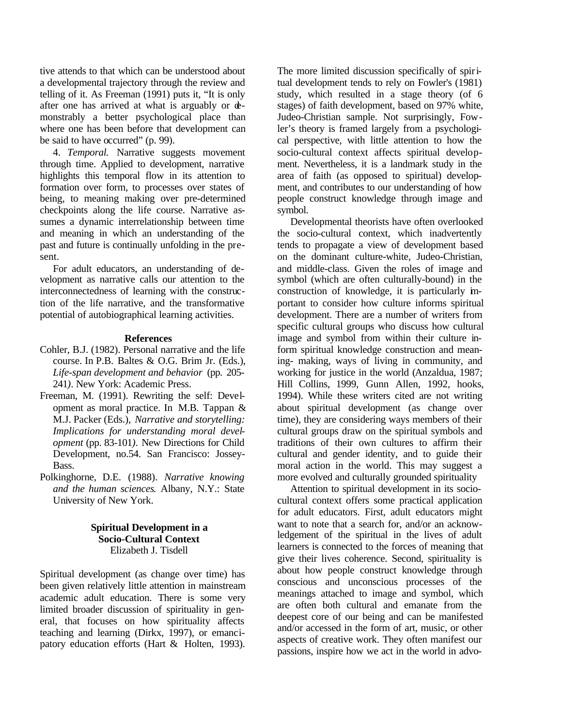tive attends to that which can be understood about a developmental trajectory through the review and telling of it. As Freeman (1991) puts it, "It is only after one has arrived at what is arguably or demonstrably a better psychological place than where one has been before that development can be said to have occurred" (p. 99).

4. *Temporal.* Narrative suggests movement through time. Applied to development, narrative highlights this temporal flow in its attention to formation over form, to processes over states of being, to meaning making over pre-determined checkpoints along the life course. Narrative assumes a dynamic interrelationship between time and meaning in which an understanding of the past and future is continually unfolding in the present.

For adult educators, an understanding of development as narrative calls our attention to the interconnectedness of learning with the construction of the life narrative, and the transformative potential of autobiographical learning activities.

## **References**

- Cohler, B.J. (1982). Personal narrative and the life course. In P.B. Baltes & O.G. Brim Jr. (Eds.), *Life-span development and behavior* (pp. 205- 241*)*. New York: Academic Press.
- Freeman, M. (1991). Rewriting the self: Development as moral practice. In M.B. Tappan & M.J. Packer (Eds.), *Narrative and storytelling: Implications for understanding moral development* (pp. 83-101*).* New Directions for Child Development, no.54. San Francisco: Jossey-Bass.
- Polkinghorne, D.E. (1988). *Narrative knowing and the human sciences*. Albany, N.Y.: State University of New York.

## **Spiritual Development in a Socio-Cultural Context** Elizabeth J. Tisdell

Spiritual development (as change over time) has been given relatively little attention in mainstream academic adult education. There is some very limited broader discussion of spirituality in general, that focuses on how spirituality affects teaching and learning (Dirkx, 1997), or emancipatory education efforts (Hart & Holten, 1993). The more limited discussion specifically of spiritual development tends to rely on Fowler's (1981) study, which resulted in a stage theory (of 6 stages) of faith development, based on 97% white, Judeo-Christian sample. Not surprisingly, Fowler's theory is framed largely from a psychological perspective, with little attention to how the socio-cultural context affects spiritual development. Nevertheless, it is a landmark study in the area of faith (as opposed to spiritual) development, and contributes to our understanding of how people construct knowledge through image and symbol.

Developmental theorists have often overlooked the socio-cultural context, which inadvertently tends to propagate a view of development based on the dominant culture-white, Judeo-Christian, and middle-class. Given the roles of image and symbol (which are often culturally-bound) in the construction of knowledge, it is particularly important to consider how culture informs spiritual development. There are a number of writers from specific cultural groups who discuss how cultural image and symbol from within their culture inform spiritual knowledge construction and meaning- making, ways of living in community, and working for justice in the world (Anzaldua, 1987; Hill Collins, 1999, Gunn Allen, 1992, hooks, 1994). While these writers cited are not writing about spiritual development (as change over time), they are considering ways members of their cultural groups draw on the spiritual symbols and traditions of their own cultures to affirm their cultural and gender identity, and to guide their moral action in the world. This may suggest a more evolved and culturally grounded spirituality

Attention to spiritual development in its sociocultural context offers some practical application for adult educators. First, adult educators might want to note that a search for, and/or an acknowledgement of the spiritual in the lives of adult learners is connected to the forces of meaning that give their lives coherence. Second, spirituality is about how people construct knowledge through conscious and unconscious processes of the meanings attached to image and symbol, which are often both cultural and emanate from the deepest core of our being and can be manifested and/or accessed in the form of art, music, or other aspects of creative work. They often manifest our passions, inspire how we act in the world in advo-